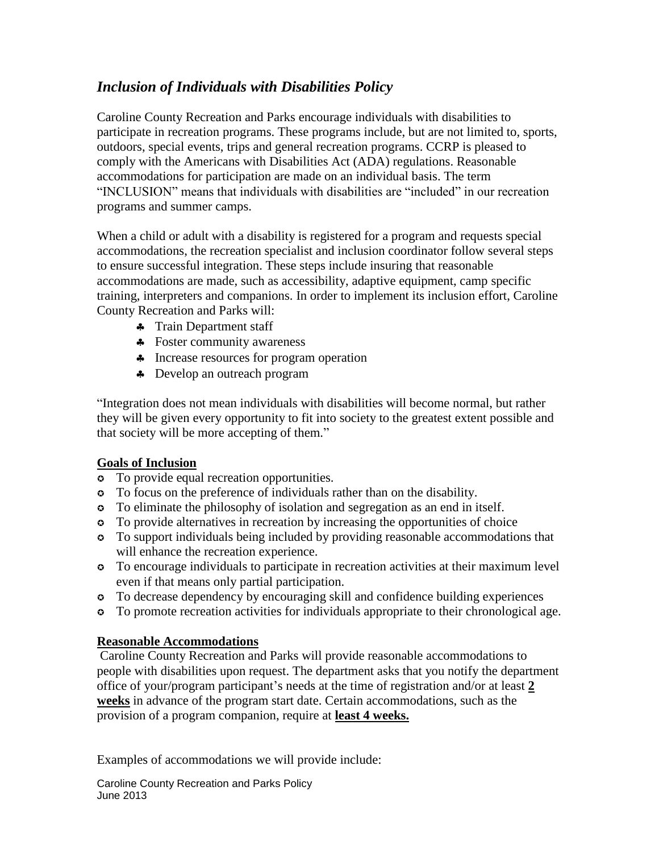## *Inclusion of Individuals with Disabilities Policy*

Caroline County Recreation and Parks encourage individuals with disabilities to participate in recreation programs. These programs include, but are not limited to, sports, outdoors, special events, trips and general recreation programs. CCRP is pleased to comply with the Americans with Disabilities Act (ADA) regulations. Reasonable accommodations for participation are made on an individual basis. The term "INCLUSION" means that individuals with disabilities are "included" in our recreation programs and summer camps.

When a child or adult with a disability is registered for a program and requests special accommodations, the recreation specialist and inclusion coordinator follow several steps to ensure successful integration. These steps include insuring that reasonable accommodations are made, such as accessibility, adaptive equipment, camp specific training, interpreters and companions. In order to implement its inclusion effort, Caroline County Recreation and Parks will:

- Train Department staff
- Foster community awareness
- Increase resources for program operation
- Develop an outreach program

"Integration does not mean individuals with disabilities will become normal, but rather they will be given every opportunity to fit into society to the greatest extent possible and that society will be more accepting of them."

## **Goals of Inclusion**

- To provide equal recreation opportunities.
- To focus on the preference of individuals rather than on the disability.
- To eliminate the philosophy of isolation and segregation as an end in itself.
- To provide alternatives in recreation by increasing the opportunities of choice
- To support individuals being included by providing reasonable accommodations that will enhance the recreation experience.
- To encourage individuals to participate in recreation activities at their maximum level even if that means only partial participation.
- To decrease dependency by encouraging skill and confidence building experiences
- To promote recreation activities for individuals appropriate to their chronological age.

## **Reasonable Accommodations**

Caroline County Recreation and Parks will provide reasonable accommodations to people with disabilities upon request. The department asks that you notify the department office of your/program participant's needs at the time of registration and/or at least **2 weeks** in advance of the program start date. Certain accommodations, such as the provision of a program companion, require at **least 4 weeks.**

Examples of accommodations we will provide include:

Caroline County Recreation and Parks Policy June 2013